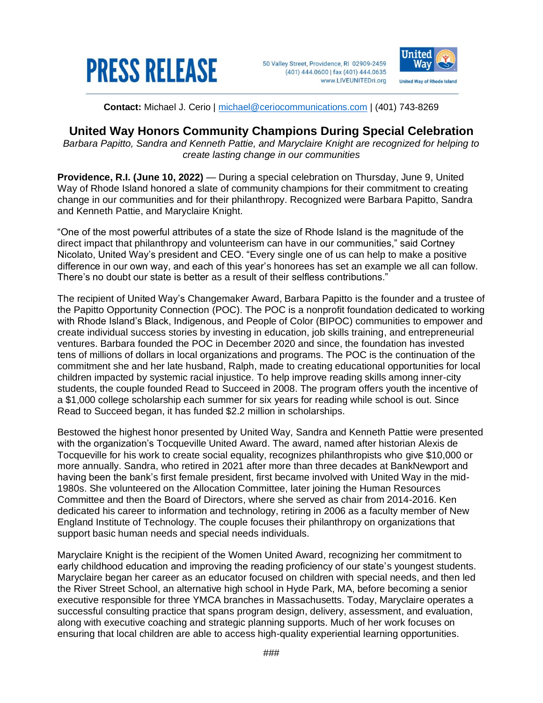

50 Valley Street, Providence, RI 02909-2459 (401) 444.0600 | fax (401) 444.0635 www.LIVEUNITEDri.org



**Contact:** Michael J. Cerio | [michael@ceriocommunications.com](mailto:michael@ceriocommunications.com) | (401) 743-8269

## **United Way Honors Community Champions During Special Celebration**

*Barbara Papitto, Sandra and Kenneth Pattie, and Maryclaire Knight are recognized for helping to create lasting change in our communities*

**Providence, R.I. (June 10, 2022)** — During a special celebration on Thursday, June 9, United Way of Rhode Island honored a slate of community champions for their commitment to creating change in our communities and for their philanthropy. Recognized were Barbara Papitto, Sandra and Kenneth Pattie, and Maryclaire Knight.

"One of the most powerful attributes of a state the size of Rhode Island is the magnitude of the direct impact that philanthropy and volunteerism can have in our communities," said Cortney Nicolato, United Way's president and CEO. "Every single one of us can help to make a positive difference in our own way, and each of this year's honorees has set an example we all can follow. There's no doubt our state is better as a result of their selfless contributions."

The recipient of United Way's Changemaker Award, Barbara Papitto is the founder and a trustee of the Papitto Opportunity Connection (POC). The POC is a nonprofit foundation dedicated to working with Rhode Island's Black, Indigenous, and People of Color (BIPOC) communities to empower and create individual success stories by investing in education, job skills training, and entrepreneurial ventures. Barbara founded the POC in December 2020 and since, the foundation has invested tens of millions of dollars in local organizations and programs. The POC is the continuation of the commitment she and her late husband, Ralph, made to creating educational opportunities for local children impacted by systemic racial injustice. To help improve reading skills among inner-city students, the couple founded Read to Succeed in 2008. The program offers youth the incentive of a \$1,000 college scholarship each summer for six years for reading while school is out. Since Read to Succeed began, it has funded \$2.2 million in scholarships.

Bestowed the highest honor presented by United Way, Sandra and Kenneth Pattie were presented with the organization's Tocqueville United Award. The award, named after historian Alexis de Tocqueville for his work to create social equality, recognizes philanthropists who give \$10,000 or more annually. Sandra, who retired in 2021 after more than three decades at BankNewport and having been the bank's first female president, first became involved with United Way in the mid-1980s. She volunteered on the Allocation Committee, later joining the Human Resources Committee and then the Board of Directors, where she served as chair from 2014-2016. Ken dedicated his career to information and technology, retiring in 2006 as a faculty member of New England Institute of Technology. The couple focuses their philanthropy on organizations that support basic human needs and special needs individuals.

Maryclaire Knight is the recipient of the Women United Award, recognizing her commitment to early childhood education and improving the reading proficiency of our state's youngest students. Maryclaire began her career as an educator focused on children with special needs, and then led the River Street School, an alternative high school in Hyde Park, MA, before becoming a senior executive responsible for three YMCA branches in Massachusetts. Today, Maryclaire operates a successful consulting practice that spans program design, delivery, assessment, and evaluation, along with executive coaching and strategic planning supports. Much of her work focuses on ensuring that local children are able to access high-quality experiential learning opportunities.